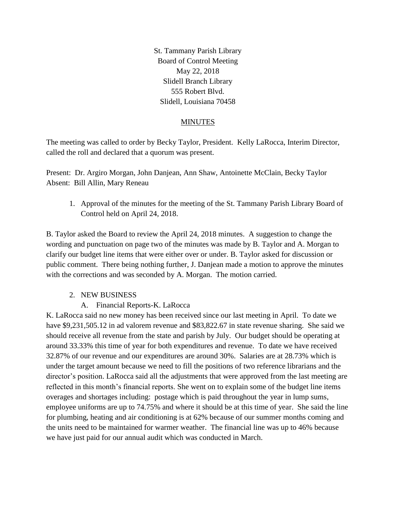St. Tammany Parish Library Board of Control Meeting May 22, 2018 Slidell Branch Library 555 Robert Blvd. Slidell, Louisiana 70458

## MINUTES

The meeting was called to order by Becky Taylor, President. Kelly LaRocca, Interim Director, called the roll and declared that a quorum was present.

Present: Dr. Argiro Morgan, John Danjean, Ann Shaw, Antoinette McClain, Becky Taylor Absent: Bill Allin, Mary Reneau

1. Approval of the minutes for the meeting of the St. Tammany Parish Library Board of Control held on April 24, 2018.

B. Taylor asked the Board to review the April 24, 2018 minutes. A suggestion to change the wording and punctuation on page two of the minutes was made by B. Taylor and A. Morgan to clarify our budget line items that were either over or under. B. Taylor asked for discussion or public comment. There being nothing further, J. Danjean made a motion to approve the minutes with the corrections and was seconded by A. Morgan. The motion carried.

# 2. NEW BUSINESS

# A. Financial Reports-K. LaRocca

K. LaRocca said no new money has been received since our last meeting in April. To date we have \$9,231,505.12 in ad valorem revenue and \$83,822.67 in state revenue sharing. She said we should receive all revenue from the state and parish by July. Our budget should be operating at around 33.33% this time of year for both expenditures and revenue. To date we have received 32.87% of our revenue and our expenditures are around 30%. Salaries are at 28.73% which is under the target amount because we need to fill the positions of two reference librarians and the director's position. LaRocca said all the adjustments that were approved from the last meeting are reflected in this month's financial reports. She went on to explain some of the budget line items overages and shortages including: postage which is paid throughout the year in lump sums, employee uniforms are up to 74.75% and where it should be at this time of year. She said the line for plumbing, heating and air conditioning is at 62% because of our summer months coming and the units need to be maintained for warmer weather. The financial line was up to 46% because we have just paid for our annual audit which was conducted in March.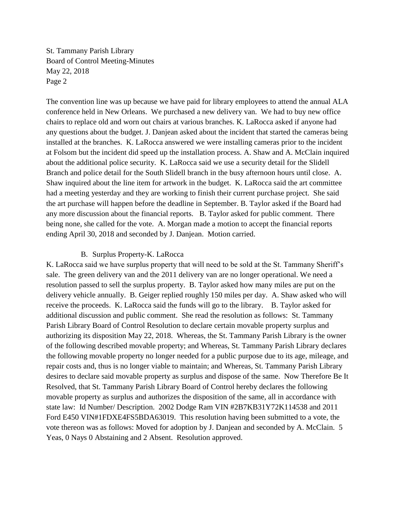St. Tammany Parish Library Board of Control Meeting-Minutes May 22, 2018 Page 2

The convention line was up because we have paid for library employees to attend the annual ALA conference held in New Orleans. We purchased a new delivery van. We had to buy new office chairs to replace old and worn out chairs at various branches. K. LaRocca asked if anyone had any questions about the budget. J. Danjean asked about the incident that started the cameras being installed at the branches. K. LaRocca answered we were installing cameras prior to the incident at Folsom but the incident did speed up the installation process. A. Shaw and A. McClain inquired about the additional police security. K. LaRocca said we use a security detail for the Slidell Branch and police detail for the South Slidell branch in the busy afternoon hours until close. A. Shaw inquired about the line item for artwork in the budget. K. LaRocca said the art committee had a meeting yesterday and they are working to finish their current purchase project. She said the art purchase will happen before the deadline in September. B. Taylor asked if the Board had any more discussion about the financial reports. B. Taylor asked for public comment. There being none, she called for the vote. A. Morgan made a motion to accept the financial reports ending April 30, 2018 and seconded by J. Danjean. Motion carried.

#### B. Surplus Property-K. LaRocca

K. LaRocca said we have surplus property that will need to be sold at the St. Tammany Sheriff's sale. The green delivery van and the 2011 delivery van are no longer operational. We need a resolution passed to sell the surplus property. B. Taylor asked how many miles are put on the delivery vehicle annually. B. Geiger replied roughly 150 miles per day. A. Shaw asked who will receive the proceeds. K. LaRocca said the funds will go to the library. B. Taylor asked for additional discussion and public comment. She read the resolution as follows: St. Tammany Parish Library Board of Control Resolution to declare certain movable property surplus and authorizing its disposition May 22, 2018. Whereas, the St. Tammany Parish Library is the owner of the following described movable property; and Whereas, St. Tammany Parish Library declares the following movable property no longer needed for a public purpose due to its age, mileage, and repair costs and, thus is no longer viable to maintain; and Whereas, St. Tammany Parish Library desires to declare said movable property as surplus and dispose of the same. Now Therefore Be It Resolved, that St. Tammany Parish Library Board of Control hereby declares the following movable property as surplus and authorizes the disposition of the same, all in accordance with state law: Id Number/ Description. 2002 Dodge Ram VIN #2B7KB31Y72K114538 and 2011 Ford E450 VIN#1FDXE4FS5BDA63019. This resolution having been submitted to a vote, the vote thereon was as follows: Moved for adoption by J. Danjean and seconded by A. McClain. 5 Yeas, 0 Nays 0 Abstaining and 2 Absent. Resolution approved.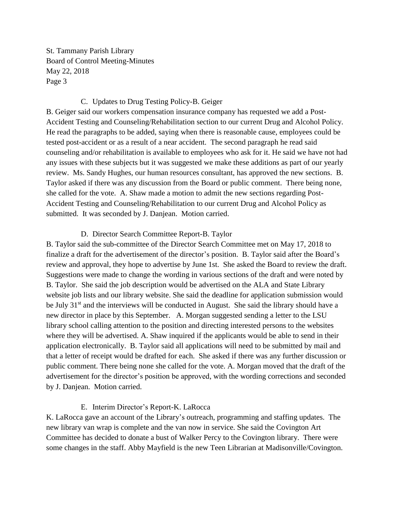St. Tammany Parish Library Board of Control Meeting-Minutes May 22, 2018 Page 3

#### C. Updates to Drug Testing Policy-B. Geiger

B. Geiger said our workers compensation insurance company has requested we add a Post-Accident Testing and Counseling/Rehabilitation section to our current Drug and Alcohol Policy. He read the paragraphs to be added, saying when there is reasonable cause, employees could be tested post-accident or as a result of a near accident. The second paragraph he read said counseling and/or rehabilitation is available to employees who ask for it. He said we have not had any issues with these subjects but it was suggested we make these additions as part of our yearly review. Ms. Sandy Hughes, our human resources consultant, has approved the new sections. B. Taylor asked if there was any discussion from the Board or public comment. There being none, she called for the vote. A. Shaw made a motion to admit the new sections regarding Post-Accident Testing and Counseling/Rehabilitation to our current Drug and Alcohol Policy as submitted. It was seconded by J. Danjean. Motion carried.

#### D. Director Search Committee Report-B. Taylor

B. Taylor said the sub-committee of the Director Search Committee met on May 17, 2018 to finalize a draft for the advertisement of the director's position. B. Taylor said after the Board's review and approval, they hope to advertise by June 1st. She asked the Board to review the draft. Suggestions were made to change the wording in various sections of the draft and were noted by B. Taylor. She said the job description would be advertised on the ALA and State Library website job lists and our library website. She said the deadline for application submission would be July  $31<sup>st</sup>$  and the interviews will be conducted in August. She said the library should have a new director in place by this September. A. Morgan suggested sending a letter to the LSU library school calling attention to the position and directing interested persons to the websites where they will be advertised. A. Shaw inquired if the applicants would be able to send in their application electronically. B. Taylor said all applications will need to be submitted by mail and that a letter of receipt would be drafted for each. She asked if there was any further discussion or public comment. There being none she called for the vote. A. Morgan moved that the draft of the advertisement for the director's position be approved, with the wording corrections and seconded by J. Danjean. Motion carried.

### E. Interim Director's Report-K. LaRocca

K. LaRocca gave an account of the Library's outreach, programming and staffing updates. The new library van wrap is complete and the van now in service. She said the Covington Art Committee has decided to donate a bust of Walker Percy to the Covington library. There were some changes in the staff. Abby Mayfield is the new Teen Librarian at Madisonville/Covington.